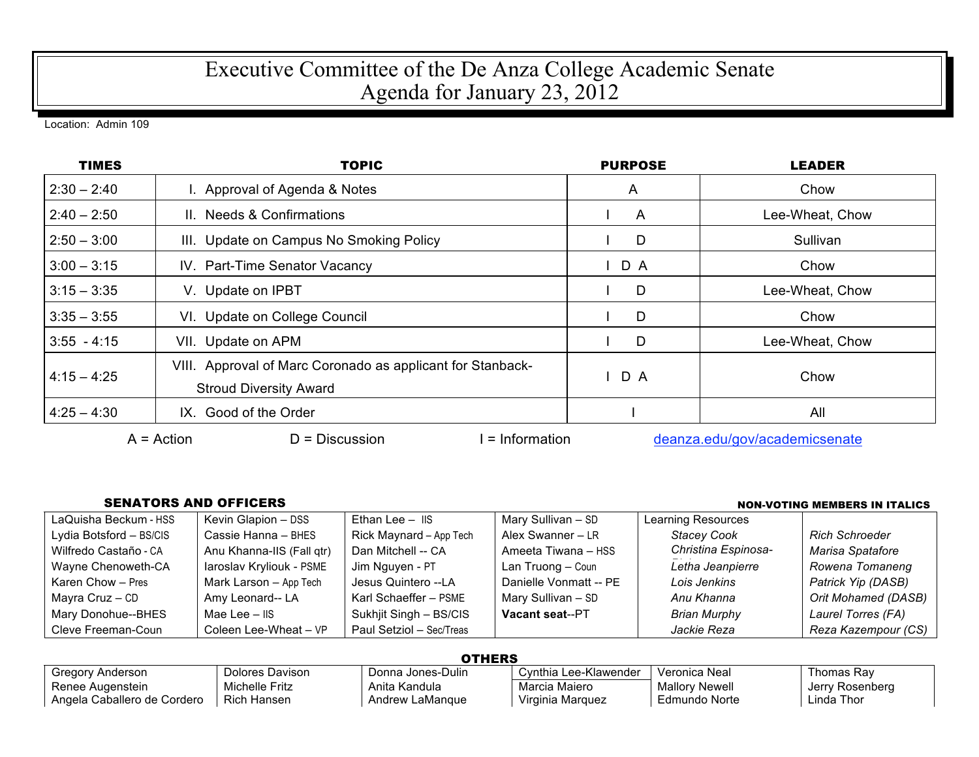## Executive Committee of the De Anza College Academic Senate Agenda for January 23, 2012

Location: Admin 109

| <b>TIMES</b>  | <b>TOPIC</b>                                                                                | <b>PURPOSE</b> | <b>LEADER</b>   |
|---------------|---------------------------------------------------------------------------------------------|----------------|-----------------|
| $2:30 - 2:40$ | I. Approval of Agenda & Notes                                                               | A              | Chow            |
| $2:40 - 2:50$ | II. Needs & Confirmations                                                                   | A              | Lee-Wheat, Chow |
| $2:50 - 3:00$ | III. Update on Campus No Smoking Policy                                                     | D              | Sullivan        |
| $3:00 - 3:15$ | IV. Part-Time Senator Vacancy                                                               | D A            | Chow            |
| $3:15 - 3:35$ | V. Update on IPBT                                                                           | D              | Lee-Wheat, Chow |
| $3:35 - 3:55$ | VI. Update on College Council                                                               | D              | Chow            |
| $3:55 - 4:15$ | VII. Update on APM                                                                          | D              | Lee-Wheat, Chow |
| $4:15 - 4:25$ | VIII. Approval of Marc Coronado as applicant for Stanback-<br><b>Stroud Diversity Award</b> | D A            | Chow            |
| $4:25 - 4:30$ | IX. Good of the Order                                                                       |                | All             |

 $A =$ Action  $D =$  Discussion I = Information deanza.edu/gov/academicsenate

## SENATORS AND OFFICERS NON-VOTING MEMBERS IN ITALICS

| LaQuisha Beckum - HSS   | Kevin Glapion - DSS       | Ethan Lee $-$ IIS        | Mary Sullivan - SD     | Learning Resources  |                       |
|-------------------------|---------------------------|--------------------------|------------------------|---------------------|-----------------------|
| Lydia Botsford – BS/CIS | Cassie Hanna - BHES       | Rick Maynard - App Tech  | Alex Swanner - LR      | <b>Stacey Cook</b>  | <b>Rich Schroeder</b> |
| Wilfredo Castaño - CA   | Anu Khanna-IIS (Fall qtr) | Dan Mitchell -- CA       | Ameeta Tiwana - HSS    | Christina Espinosa- | Marisa Spatafore      |
| Wayne Chenoweth-CA      | laroslav Kryliouk - PSME  | Jim Nguyen - PT          | Lan Truong - Coun      | Letha Jeanpierre    | Rowena Tomaneng       |
| Karen Chow - Pres       | Mark Larson - App Tech    | Jesus Quintero --LA      | Danielle Vonmatt -- PE | Lois Jenkins        | Patrick Yip (DASB)    |
| Mayra $Cruz - CD$       | Amy Leonard-- LA          | Karl Schaeffer - PSME    | Mary Sullivan - SD     | Anu Khanna          | Orit Mohamed (DASB)   |
| Mary Donohue--BHES      | Mae Lee $-$ IIS           | Sukhjit Singh - BS/CIS   | Vacant seat--PT        | Brian Murphy        | Laurel Torres (FA)    |
| Cleve Freeman-Coun      | Coleen Lee-Wheat - VP     | Paul Setziol - Sec/Treas |                        | Jackie Reza         | Reza Kazempour (CS)   |

**OTHERS** 

| --------                    |                    |                   |                       |                |                 |
|-----------------------------|--------------------|-------------------|-----------------------|----------------|-----------------|
| Gregory Anderson            | Dolores Davison    | Donna Jones-Dulin | Cynthia Lee-Klawender | Veronica Neal  | Thomas Rav      |
| Renee Augenstein            | Michelle Fritz     | Anita Kandula     | Marcia Maiero         | Mallory Newell | Jerry Rosenberg |
| Angela Caballero de Cordero | <b>Rich Hansen</b> | Andrew LaMangue   | Virginia Marguez      | Edmundo Norte  | Linda Thor      |